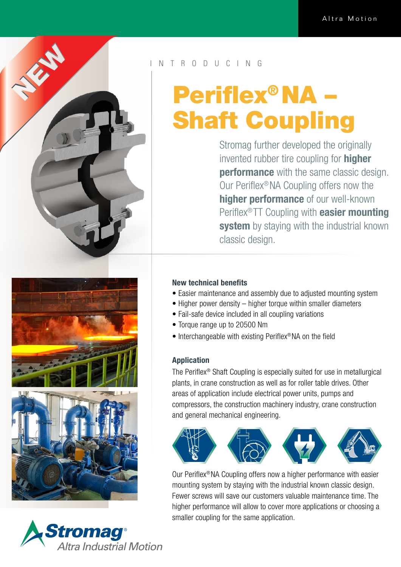

# R O D U C I N G

# Periflex® NA – Shaft Coupling

Stromag further developed the originally invented rubber tire coupling for **higher performance** with the same classic design. Our Periflex®NA Coupling offers now the higher performance of our well-known Periflex®TT Coupling with easier mounting system by staying with the industrial known classic design.





## New technical benefits

- Easier maintenance and assembly due to adjusted mounting system
- Higher power density higher torque within smaller diameters
- Fail-safe device included in all coupling variations
- Torque range up to 20500 Nm
- Interchangeable with existing Periflex<sup>®</sup> NA on the field

#### Application

The Periflex® Shaft Coupling is especially suited for use in metallurgical plants, in crane construction as well as for roller table drives. Other areas of application include electrical power units, pumps and compressors, the construction machinery industry, crane construction and general mechanical engineering.



Our Periflex® NA Coupling offers now a higher performance with easier mounting system by staying with the industrial known classic design. Fewer screws will save our customers valuable maintenance time. The higher performance will allow to cover more applications or choosing a smaller coupling for the same application.